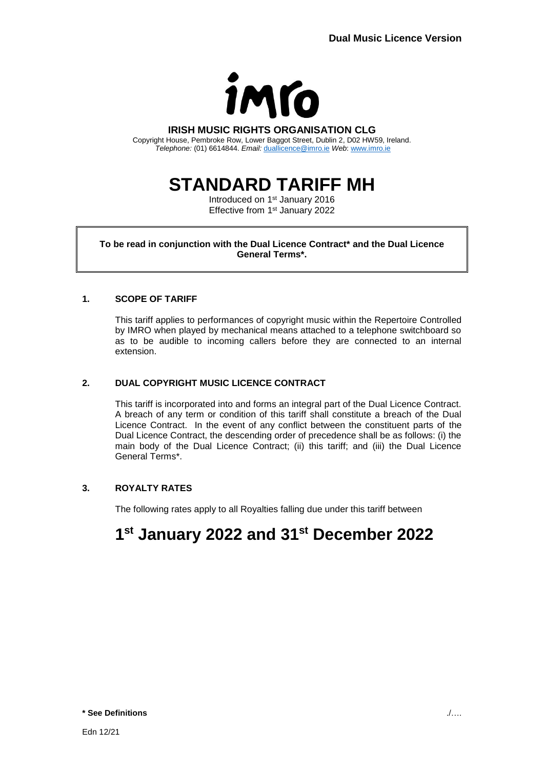

#### **IRISH MUSIC RIGHTS ORGANISATION CLG**

Copyright House, Pembroke Row, Lower Baggot Street, Dublin 2, D02 HW59, Ireland. *Telephone:* (01) 6614844. *Email:* [duallicence@imro.ie](mailto:duallicence@imro.ie) *Web*: [www.imro.ie](http://www.imro.ie/)

# **STANDARD TARIFF MH**

Introduced on 1<sup>st</sup> January 2016 Effective from 1<sup>st</sup> January 2022

### **To be read in conjunction with the Dual Licence Contract\* and the Dual Licence General Terms\*.**

### **1. SCOPE OF TARIFF**

This tariff applies to performances of copyright music within the Repertoire Controlled by IMRO when played by mechanical means attached to a telephone switchboard so as to be audible to incoming callers before they are connected to an internal extension.

### **2. DUAL COPYRIGHT MUSIC LICENCE CONTRACT**

This tariff is incorporated into and forms an integral part of the Dual Licence Contract. A breach of any term or condition of this tariff shall constitute a breach of the Dual Licence Contract. In the event of any conflict between the constituent parts of the Dual Licence Contract, the descending order of precedence shall be as follows: (i) the main body of the Dual Licence Contract; (ii) this tariff; and (iii) the Dual Licence General Terms\*.

## **3. ROYALTY RATES**

The following rates apply to all Royalties falling due under this tariff between

# **1 st January 2022 and 31st December 2022**